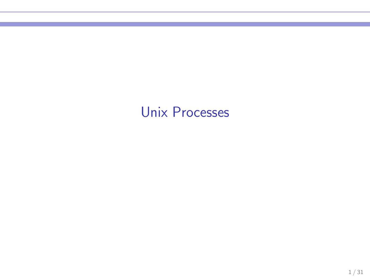## Unix Processes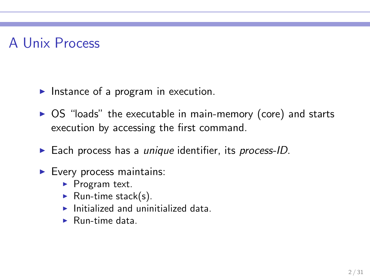## A Unix Process

- $\blacktriangleright$  Instance of a program in execution.
- ▶ OS "loads" the executable in main-memory (core) and starts execution by accessing the first command.
- $\blacktriangleright$  Each process has a *unique* identifier, its process-ID.
- $\blacktriangleright$  Every process maintains:
	- ▶ Program text.
	- $\blacktriangleright$  Run-time stack(s).
	- $\blacktriangleright$  Initialized and uninitialized data.
	- $\blacktriangleright$  Run-time data.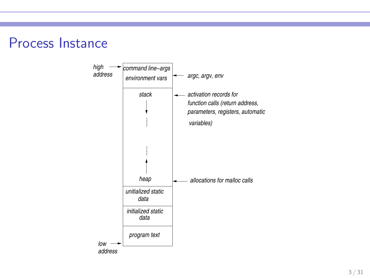

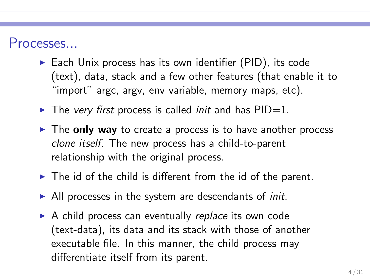#### Processes...

- $\triangleright$  Each Unix process has its own identifier (PID), its code (text), data, stack and a few other features (that enable it to "import" argc, argv, env variable, memory maps, etc).
- $\blacktriangleright$  The very first process is called *init* and has  $PID=1$ .
- $\triangleright$  The only way to create a process is to have another process clone itself. The new process has a child-to-parent relationship with the original process.
- $\blacktriangleright$  The id of the child is different from the id of the parent.
- $\blacktriangleright$  All processes in the system are descendants of *init*.
- ▶ A child process can eventually replace its own code (text-data), its data and its stack with those of another executable file. In this manner, the child process may differentiate itself from its parent.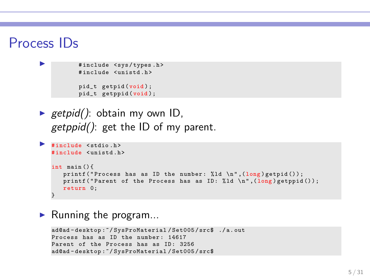#### Process IDs

```
#include <sys/types.h>
# include < unistd .h >
pid_t getpid (void ) ;
pid_t getppid (void );
```
retpid(): obtain my own ID,  $getppid()$ : get the ID of my parent.

```
▶ #include <stdio.h>
   # include < unistd .h >
   int main () {
       printf ("Process has as ID the number: \lambda 1d \n\in (long) getpid();
       printf ("Parent of the Process has as ID: \lambda d \ \ln", (long) getppid ());
       return 0;
    }
```
 $\blacktriangleright$  Running the program...

```
ad@ad - desktop :~/ SysProMaterial / Set005 / src$ ./ a. out
Process has as ID the number: 14617
Parent of the Process has as ID: 3256
ad@ad - desktop :~/ SysProMaterial / Set005 / src$
```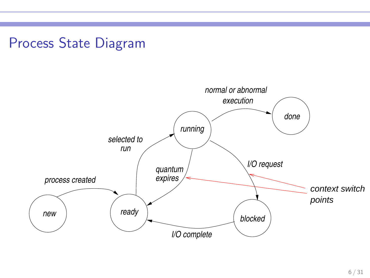## Process State Diagram

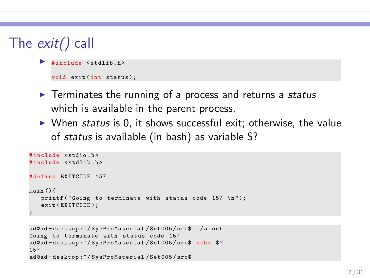```
The exit() call
```

```
#include <stdlib.h>
void exit (int status);
```
- $\triangleright$  Terminates the running of a process and returns a status which is available in the parent process.
- $\triangleright$  When status is 0, it shows successful exit; otherwise, the value of status is available (in bash) as variable \$?

```
# include < stdio .h >
#include <stdlib.h>
# define EXITCODE 157
main () {
   printf ("Goinr to terminate with status code 157 \space \n\mid n"):
   exit (EXITCODE);
}
```

```
ad@ad - desktop :~/ SysProMaterial / Set005 / src$ ./ a . out
Going to terminate with status code 157
ad@ad-desktop:"/SysProMaterial/Set005/src$ echo $?
157
ad@ad - desktop :~/ SysProMaterial / Set005 / src$
```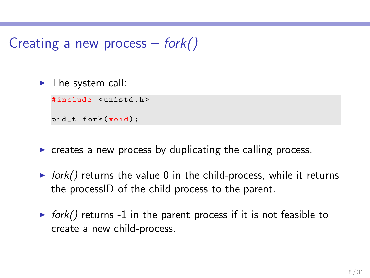## Creating a new process  $-$  fork()

 $\blacktriangleright$  The system call:

#include <unistd.h>

pid\_t fork(void);

- $\triangleright$  creates a new process by duplicating the calling process.
- $\triangleright$  fork() returns the value 0 in the child-process, while it returns the processID of the child process to the parent.
- $\triangleright$  fork() returns -1 in the parent process if it is not feasible to create a new child-process.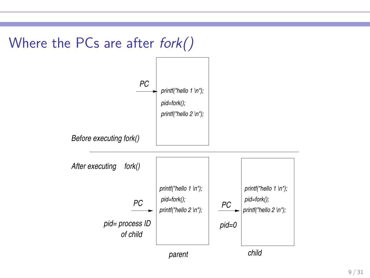

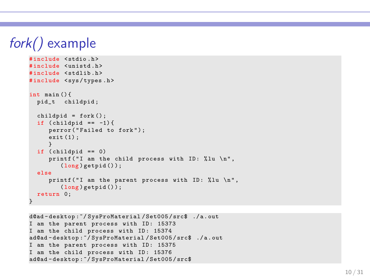# fork() example

```
# include < stdio .h >
# include < unistd .h >
#include <stdlib.h>
# include < sys / types .h >
int main () {
  pid_t childpid ;
  child = fork():
  if (cchild = -1) {
     perror ("Failed to fork");
     exit (1) ;
     }
  if (cchild == 0)printf ("I am the child process with ID: %lu \n",
        (long) getpid();
  else
     printf ("I am the parent process with ID: %lu \n",
        (long) getpid();
  return 0;
}
```

```
d@ad - desktop :~/ SysProMaterial / Set005 / src$ ./ a . out
I am the parent process with ID: 15373
I am the child process with ID: 15374
ad@ad - desktop :~/ SysProMaterial / Set005 / src$ ./ a . out
I am the parent process with ID: 15375
I am the child process with ID: 15376
ad@ad - desktop :~/ SysProMaterial / Set005 / src$
```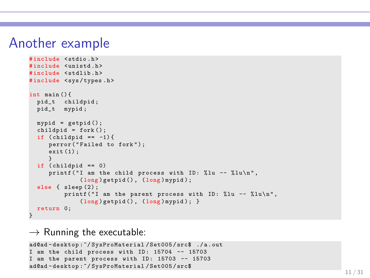#### Another example

```
# include < stdio .h >
# include < unistd .h >
#include <stdlib.h>
# include < sys / types .h >
int main () {
  pid_t childpid ;
  pid_t mypid ;
  mypid = getpid();
  child = fork();
  if (childpid == -1) {
     perror ("Failed to fork");
     exit(1):
      }
  if (child == 0)printf ("I am the child process with ID: \chilu -- \chilu\ln",
               (long ) getpid () , (long ) mypid ) ;
  else { sleep (2) ;
          printf ("I am the parent process with ID: \frac{9}{1}lu -- \frac{9}{1}lu \n",
               (long) getpid (), (long) mypid); }
  return 0;
}
```
 $\rightarrow$  Running the executable:

```
ad@ad - desktop :~/ SysProMaterial / Set005 / src$ ./ a . out
I am the child process with ID: 15704 -- 15703
I am the parent process with ID: 15703 -- 15703
ad@ad - desktop :~/ SysProMaterial / Set005 / src$
```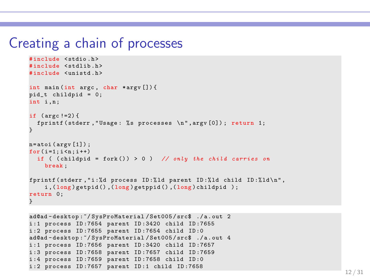#### Creating a chain of processes

```
# include < stdio .h >
#include <stdlib.h>
# include < unistd .h >
int main (int argc , char * argv []) {
pid_t childpid = 0;
int i.n:
if (\text{arec }!=2) {
  fprintf (stderr, "Usage: % s processes \n", argy [0]); return 1;
}
n = atoi (arev [1]):
for ( i = 1 : i < n : i++)if ( (childpid = fork()) > 0 ) // only the child carries on
    break ;
fprintf (stderr, "i: "%d process ID: "ld parent ID: "ld child ID: "dd \n",
    i, (long) getpid (), (long) getppid (), (long) childpid );
return 0;
}
```

```
ad@ad - desktop :~/ SysProMaterial / Set005 / src$ ./ a . out 2
i :1 process ID :7654 parent ID :3420 child ID :7655
i :2 process ID :7655 parent ID :7654 child ID :0
ad@ad - desktop :~/ SysProMaterial / Set005 / src$ ./ a . out 4
i :1 process ID :7656 parent ID :3420 child ID :7657
i :3 process ID :7658 parent ID :7657 child ID :7659
i :4 process ID :7659 parent ID :7658 child ID :0
i :2 process ID :7657 parent ID :1 child ID :7658
```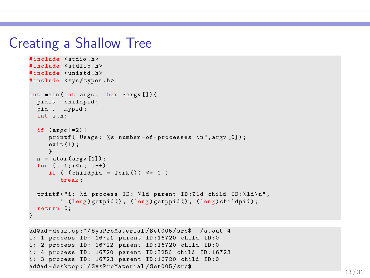#### Creating a Shallow Tree

```
# include < stdio .h >
#include <stdlib.h>
#include <unistd.h>
# include < sys / types .h >
int main (int argc , char * argv []) {
  pid_t childpid ;
 pid_t mypid ;
  int i.n:
  if (\arg c != 2) {
     printf ("Usage: %s number-of-processes \n", argv [0]);
     exit (1) ;
      }
  n = \text{atoi}(\arg v[1]);for (i=1:i \le n: i++)if ((childpid = fork()) \leq 0)break ;
  printf ("i: %d process ID: %ld parent ID: %ld child ID: %ld \n",
         i, (long) getpid (), (long) getppid (), (long) childpid);
  return 0;
}
```

```
ad@ad - desktop :~/ SysProMaterial / Set005 / src$ ./ a . out 4
i: 1 process ID: 16721 parent ID:16720 child ID:0
i: 2 process ID: 16722 parent ID:16720 child ID:0
i: 4 process ID: 16720 parent ID:3256 child ID:16723
i: 3 process ID: 16723 parent ID:16720 child ID:0
ad@ad - desktop :~/ SysProMaterial / Set005 / src$
```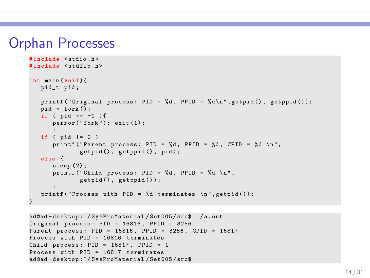#### Orphan Processes

```
# include < stdio .h >
#include <stdlib.h>
int main (void ){
   pid_t pid ;
   printf ("Original process: PID = \lambdad, PPID = \lambdad\langle n", getpid (), getppid ());
   pid = fork();
   if ( pid == -1 ) {
      \texttt{perform('fork')}: \texttt{exit(1)}:}
   if ( pid != 0)printf ("Parent process: PID = %d, PPID = %d, CPID = %d \n",
               getpid(), getppid(), pid);
   else {
      sleep (2):
      printf ("Child process: PID = \%d, PPID = \%d \n",
               getpid(), getppid();
       }
   printf ("Process with PID = \lambdad terminates \n", getpid());
}
```

```
ad@ad - desktop :~/ SysProMaterial / Set005 / src$ ./ a . out
Original process: PID = 16816, PPID = 3256Parent process : PID = 16816 , PPID = 3256 , CPID = 16817
Process with PID = 16816 terminates
Child process: PID = 16817, PPID = 1Process with PID = 16817 terminates
ad@ad - desktop :~/ SysProMaterial / Set005 / src$
```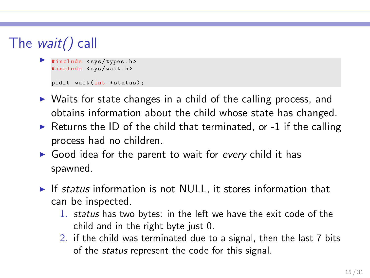# The wait() call

```
#include <svs/types.h>
#include <sys/wait.h>
pid_t wait(int *status);
```
- ▶ Waits for state changes in a child of the calling process, and obtains information about the child whose state has changed.
- $\triangleright$  Returns the ID of the child that terminated, or -1 if the calling process had no children.
- $\triangleright$  Good idea for the parent to wait for every child it has spawned.
- $\triangleright$  If status information is not NULL, it stores information that can be inspected.
	- 1. status has two bytes: in the left we have the exit code of the child and in the right byte just 0.
	- 2. if the child was terminated due to a signal, then the last 7 bits of the status represent the code for this signal.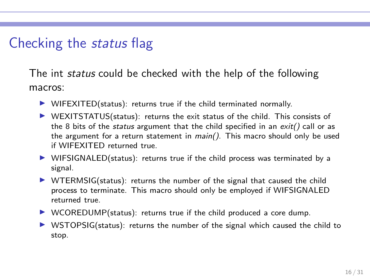## Checking the status flag

The int *status* could be checked with the help of the following macros:

- $\triangleright$  WIFEXITED(status): returns true if the child terminated normally.
- $\triangleright$  WEXITSTATUS(status): returns the exit status of the child. This consists of the 8 bits of the *status* argument that the child specified in an  $exit()$  call or as the argument for a return statement in main(). This macro should only be used if WIFEXITED returned true.
- $\triangleright$  WIFSIGNALED(status): returns true if the child process was terminated by a signal.
- $\triangleright$  WTERMSIG(status): returns the number of the signal that caused the child process to terminate. This macro should only be employed if WIFSIGNALED returned true.
- $\triangleright$  WCOREDUMP(status): returns true if the child produced a core dump.
- $\triangleright$  WSTOPSIG(status): returns the number of the signal which caused the child to stop.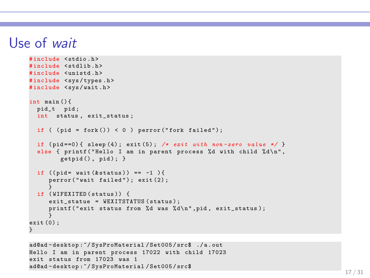#### Use of wait

```
# include < stdio .h >
#include <stdlib.h>
#include <unistd.h>
# include < sys / types .h >
#include <sys/wait.h>
int main () {
 pid_t pid ;
  int status, exit status ;
  if ( (pid = fork()) < 0 ) perror ("fork failed");
  if (pid == 0) { sleep (4); exit (5); /* exit with non-zero value */ }
  else { printf ("Hello I am in parent process %d with child %d\n",
        getpid(), pid); }
  if ((mid = wait(kstatus)) == -1)perror ("wait failed"); exit (2);
  }
if ( WIFEXITED ( status )) {
     exit_statue = WEXITSTATUS (status);
     printf (" exit status from %d was %d\n", pid, exit status);
     }
ext(0):
}
```

```
ad@ad - desktop :~/ SysProMaterial / Set005 / src$ ./ a . out
Hello I am in parent process 17022 with child 17023
exit status from 17023 was 1
ad@ad - desktop :~/ SysProMaterial / Set005 / src$
```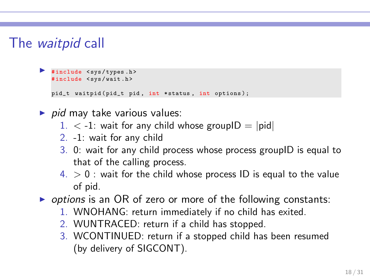## The waitpid call

```
◮ # include < sys / types .h >
 #include <sys/wait.h>
 pid_t waitpid (pid_t pid, int * status, int options);
```
- $\triangleright$  pid may take various values:
	- $1. < -1$ : wait for any child whose groupID = |pid|
	- 2. -1: wait for any child
	- 3. 0: wait for any child process whose process groupID is equal to that of the calling process.
	- $4. > 0$  : wait for the child whose process ID is equal to the value of pid.
- $\triangleright$  options is an OR of zero or more of the following constants:
	- 1. WNOHANG: return immediately if no child has exited.
	- 2. WUNTRACED: return if a child has stopped.
	- 3. WCONTINUED: return if a stopped child has been resumed (by delivery of SIGCONT).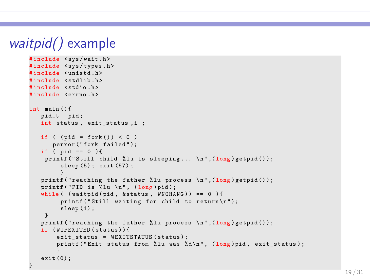```
waitpid() example
     # include < sys / wait .h >
     #include <sys/types.h>
     #include <unistd.h>
     #include <stdlib.h>
     # include < stdio .h >
     # include < errno .h >
     int main () {
         pid t pid:
        int status, exit status, i ;
        if ( (pid = fork()) < 0 )
            perror ("fork failed");
        if ( pid == 0 ) {
          printf ("Still child %lu is sleeping... \n", (long)getpid());
              sleep (5) ; exit (57) ;
              }
         printf ("reaching the father ","lu process \n", long) getpid());
         printf ("PID is \lambdalu \n", (long) pid);
         while ( (waitpid (pid, & status, WNOHANG)) == 0 ){
              printf ("Still waiting for child to return\langle n'' \rangle;
              sleep(1):
         }
         printf ("reaching the father ","lu process \ln", (long) getpid ());
        if ( WIFEXITED ( status ) ) {
             exit status = WEXITSTATUS ( status ) ;
             printf ("Exit status from %lu was %d\n", (long)pid. exit status) ;
             }
         exit (0) ;
      }
```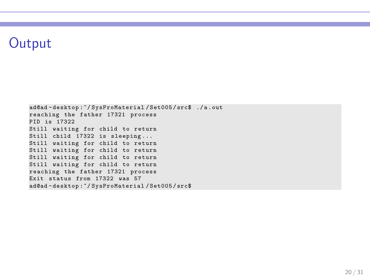## **Output**

ad@ad - desktop :~/ SysProMaterial / Set005 / src\$ ./ a . out reaching the father 17321 process PID is 17322 Still waiting for child to return Still child 17322 is sleeping ... Still waiting for child to return Still waiting for child to return Still waiting for child to return Still waiting for child to return reaching the father 17321 process Exit status from 17322 was 57 ad@ad - desktop :~/ SysProMaterial / Set005 / src\$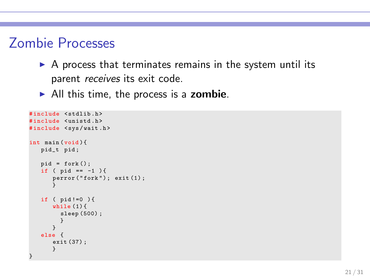## Zombie Processes

- $\triangleright$  A process that terminates remains in the system until its parent *receives* its exit code.
- $\blacktriangleright$  All this time, the process is a zombie.

```
# include < stdlib .h >
#include <unistd.h>
#include <sys/wait.h>
int main (void ){
   pid_t pid ;
   pid = fork();
   if ( pid == -1 ) {
       perror ("fork"); exit (1);
       }
   if ( pid !=0 ) {
      while (1) {
         sleep (500) ;
         }
       }
   else {
      exit (37) ;
       }
}
```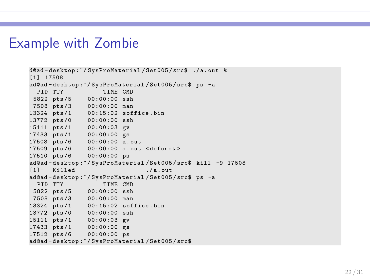#### Example with Zombie

```
d@ad - desktop :~/ SysProMaterial / Set005 / src$ ./ a . out &
[1] 17508
ad@ad-desktop:"/SysProMaterial/Set005/src$ ps -a<br>PID TTY TIME CMD
                      TIME CMD
5822 pts /5 00:00:00 ssh
7508 pts /3 00:00:00 man
13324 pts /1 00:15:02 soffice . bin
13772 pts /0 00:00:00 ssh
15111 pts /1 00:00:03 gv
17433 pts /1 00:00:00 gs
17508 pts /6 00:00:00 a . out
17509 pts /6 00:00:00 a . out < defunct >
17510 pts /6 00:00:00 ps
ad@ad - desktop :~/ SysProMaterial / Set005 / src$ kill -9 17508
[1] + Killed / a out
ad@ad-desktop:"/SysProMaterial/Set005/src$ ps -a<br>PID TTY TIME CMD
 PID TTY
 5822 pts /5 00:00:00 ssh
7508 pts /3 00:00:00 man
13324 pts /1 00:15:02 soffice . bin
13772 pts /0 00:00:00 ssh
15111 pts /1 00:00:03 gv
17433 pts /1 00:00:00 gs
17512 pts /6 00:00:00 ps
ad@ad - desktop :~/ SysProMaterial / Set005 / src$
```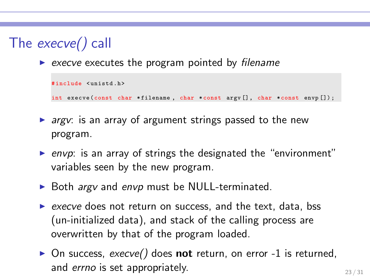# The execve() call

 $\triangleright$  execve executes the program pointed by filename

```
# include < unistd .h >
int execve (const char * filename , char * const argv [] , char *const envp []) ;
```
- $\triangleright$  argv: is an array of argument strings passed to the new program.
- ▶ envp: is an array of strings the designated the "environment" variables seen by the new program.
- ▶ Both *argv* and envp must be NULL-terminated.
- ▶ execve does not return on success, and the text, data, bss (un-initialized data), and stack of the calling process are overwritten by that of the program loaded.
- $\triangleright$  On success, execve() does **not** return, on error -1 is returned, and *errno* is set appropriately.  $23 / 31$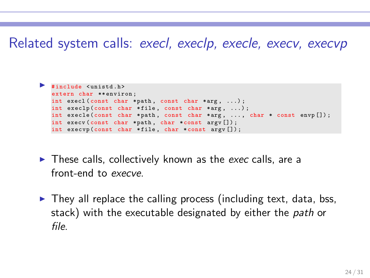#### Related system calls: execl, execlp, execle, execv, execvp

```
◮ # include < unistd .h >
 extern char ** environ:
 int execl (const char * path, const char * arg, ...);
 int execlp (const char *file, const char *arg, ...);
 int execle (const char *path, const char *arg, ..., char * const envp []);
 int execv (const char *path, char *const argv []);
 int execvp (const char * file , char * const argv []) ;
```
- $\blacktriangleright$  These calls, collectively known as the exec calls, are a front-end to execve.
- $\triangleright$  They all replace the calling process (including text, data, bss, stack) with the executable designated by either the *path* or file.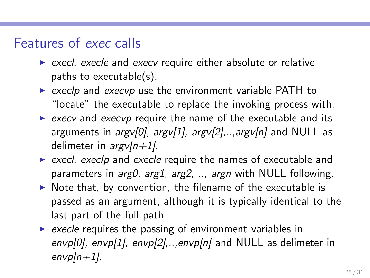#### Features of exec calls

- $\triangleright$  execl, execle and execv require either absolute or relative paths to executable(s).
- $\triangleright$  execlp and execvp use the environment variable PATH to "locate" the executable to replace the invoking process with.
- $\triangleright$  execv and execvp require the name of the executable and its arguments in  $argv[0]$ ,  $argv[1]$ ,  $argv[2]$ ,.., $argv[n]$  and NULL as delimeter in  $argv[n+1]$ .
- $\triangleright$  execl, execlp and execle require the names of executable and parameters in *arg0, arg1, arg2, .., argn* with NULL following.
- $\triangleright$  Note that, by convention, the filename of the executable is passed as an argument, although it is typically identical to the last part of the full path.
- $\triangleright$  execle requires the passing of environment variables in envp[0], envp[1], envp[2],..,envp[n] and NULL as delimeter in  $envp[n+1]$ .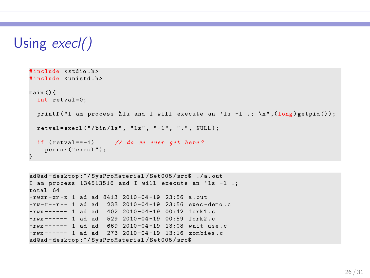# Using execl()

```
# include < stdio .h >
# include < unistd .h >
main () {
  int retval =0;
  printf ("I am process %lu and I will execute an 'ls -1 .; \ln", (\log) getpid ());
 retval=execl ("/bin/ls", "ls", "-l", ".", NULL);
  if (retval == -1) // do we ever get here?
    perror ( " execl ") ;
}
```

```
ad@ad - desktop :~/ SysProMaterial / Set005 / src$ ./ a . out
I am process 134513516 and I will execute an 'ls -1.;
total 64
-rwxr -xr -x 1 ad ad 8413 2010 -04 -19 23:56 a out
-rw-r--r-- 1 ad ad 233 2010-04-19 23:56 exec-demo.c
-rwx ------ 1 ad ad 402 2010 -04 -19 00:42 fork1 .c
-{\rm rwx} ----- 1 ad ad 529 2010-04-19 00:59 fork2.c
-rwx ------ 1 ad ad 669 2010-04-19 13:08 wait_use.c
-rwx ------ 1 ad ad 273 2010 -04 -19 13:16 zombies . c
ad@ad - desktop :~/ SysProMaterial / Set005 / src$
```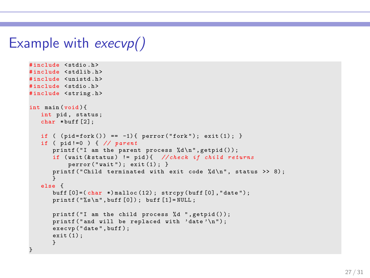## Example with execvp()

```
# include < stdio .h >
# include < stdlib .h >
# include < unistd .h >
# include < stdio .h >
#include <string.h>
int main (void ){
   int pid, status;
   char * buff [2];
   if ( (pid = fork()) == -1) { perror("fork"); exit (1);}
   if ( pid!=0 ) \frac{1}{4} // parent
       printf ("I am the parent process \lambda d \nightharpoonup", getpid ());
      if (wait (k status) != pid){ // check if child returns
           perror("wait"); exit(1);}
       printf ("Child terminated with exit code \lambdad \n", status >> 8);
       }
   else {
       buff [0] = (char *) malloc (12); strcpy (buff [0], "date");
       print(f("%s\nu", buffer[0]); buffer[1]= NULL;printf ("I am the child process %d ", getpid ());
       printf ("and will be replaced with 'date'\n");
       execvp ("date", buff);
      ext(1):
       }
}
```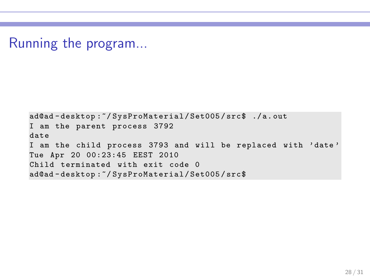Running the program...

```
ad@ad - desktop :~/ SysProMaterial / Set005 / src$ ./ a. out
I am the parent process 3792
date
I am the child process 3793 and will be replaced with ' date '
Tue Apr 20 00:23:45 EEST 2010
Child terminated with exit code 0
ad@ad - desktop :~/ SysProMaterial / Set005 / src$
```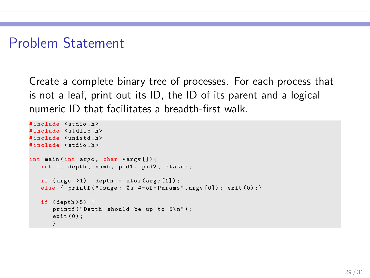## Problem Statement

Create a complete binary tree of processes. For each process that is not a leaf, print out its ID, the ID of its parent and a logical numeric ID that facilitates a breadth-first walk.

```
# include < stdio .h >
#include <stdlib.h>
#include <unistd.h>
# include < stdio .h >
int main (int argc , char * argv []) {
   int i, depth, numb, pid1, pid2, status;
   if (\arg c \ge 1) depth = atoi (\arg v [1]);
   else { printf ("Usage: %s #-of-Params", argv [0]); exit (0) ; }
   if ( depth >5) {
      printf ("Depth should be up to 5\n\\n");
      exit (0) ;
      }
```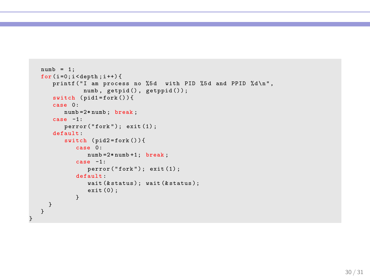```
numb = 1:
for (i=0; i \leq \text{depth}; i++)printf ("I am process no %5d with PID %5d and PPID %d\n",
            numb, getpid(), getppid());
   switch (pid1 = fork())case 0:
       numb =2* numb ; break ;
   case -1:
       \text{perror}("fork"); \text{ exit} (1);default :
       switch (pid2=fork()){
          case 0:
              numb =2* numb +1; break ;
          case -1:
              perror ("fork"); exit (1);
          default :
              wait (k status); wait (k status);
              exit (0) ;
          }
 }
}
```
}